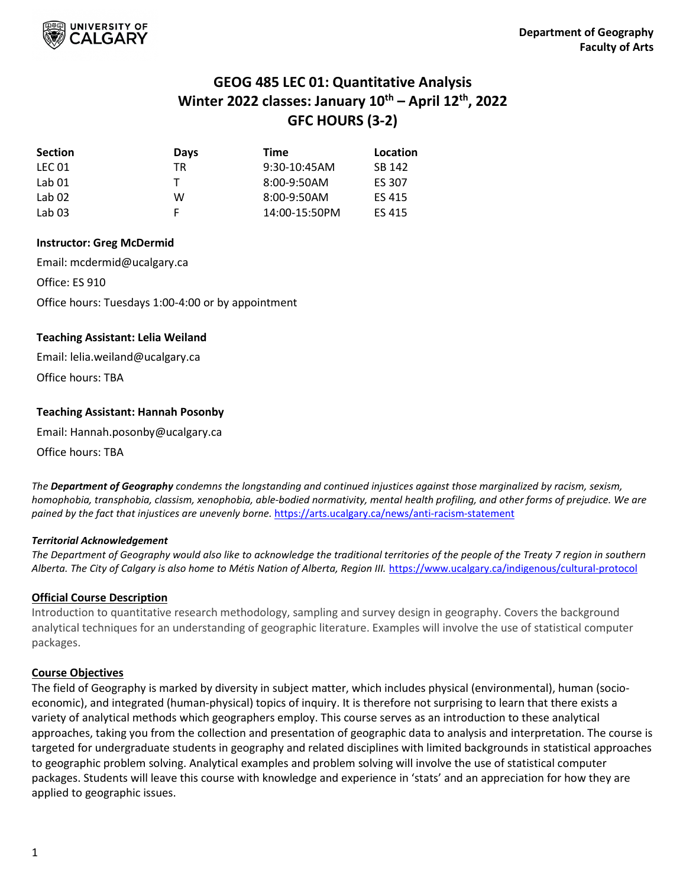

# **GEOG 485 LEC 01: Quantitative Analysis Winter 2022 classes: January 10th – April 12th, 2022 GFC HOURS (3-2)**

| <b>Section</b>    | <b>Days</b> | Time           | Location      |
|-------------------|-------------|----------------|---------------|
| LEC 01            | ТR          | $9:30-10:45AM$ | SB 142        |
| Lab 01            |             | $8:00-9:50AM$  | ES 307        |
| Lab <sub>02</sub> | w           | $8:00-9:50AM$  | <b>ES 415</b> |
| Lab <sub>03</sub> |             | 14:00-15:50PM  | ES 415        |

# **Instructor: Greg McDermid**

Email: mcdermid@ucalgary.ca Office: ES 910 Office hours: Tuesdays 1:00-4:00 or by appointment

# **Teaching Assistant: Lelia Weiland**

Email: lelia.weiland@ucalgary.ca Office hours: TBA

# **Teaching Assistant: Hannah Posonby**

Email: Hannah.posonby@ucalgary.ca

Office hours: TBA

*The Department of Geography condemns the longstanding and continued injustices against those marginalized by racism, sexism, homophobia, transphobia, classism, xenophobia, able-bodied normativity, mental health profiling, and other forms of prejudice. We are pained by the fact that injustices are unevenly borne.* <https://arts.ucalgary.ca/news/anti-racism-statement>

## *Territorial Acknowledgement*

*The Department of Geography would also like to acknowledge the traditional territories of the people of the Treaty 7 region in southern Alberta. The City of Calgary is also home to Métis Nation of Alberta, Region III.* <https://www.ucalgary.ca/indigenous/cultural-protocol>

# **Official Course Description**

Introduction to quantitative research methodology, sampling and survey design in geography. Covers the background analytical techniques for an understanding of geographic literature. Examples will involve the use of statistical computer packages.

# **Course Objectives**

The field of Geography is marked by diversity in subject matter, which includes physical (environmental), human (socioeconomic), and integrated (human-physical) topics of inquiry. It is therefore not surprising to learn that there exists a variety of analytical methods which geographers employ. This course serves as an introduction to these analytical approaches, taking you from the collection and presentation of geographic data to analysis and interpretation. The course is targeted for undergraduate students in geography and related disciplines with limited backgrounds in statistical approaches to geographic problem solving. Analytical examples and problem solving will involve the use of statistical computer packages. Students will leave this course with knowledge and experience in 'stats' and an appreciation for how they are applied to geographic issues.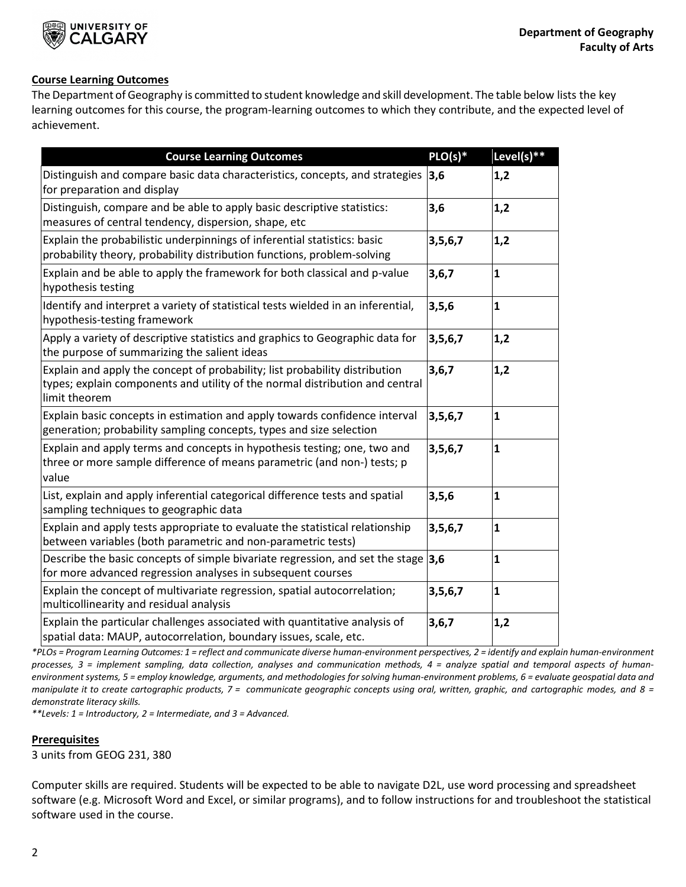

# **Course Learning Outcomes**

The Department of Geography is committed to student knowledge and skill development. The table below lists the key learning outcomes for this course, the program-learning outcomes to which they contribute, and the expected level of achievement.

| <b>Course Learning Outcomes</b>                                                                                                                                              | $PLO(s)*$  | Level(s)**   |
|------------------------------------------------------------------------------------------------------------------------------------------------------------------------------|------------|--------------|
| Distinguish and compare basic data characteristics, concepts, and strategies<br>for preparation and display                                                                  | 3,6        | 1,2          |
| Distinguish, compare and be able to apply basic descriptive statistics:<br>measures of central tendency, dispersion, shape, etc                                              | 3,6        | 1,2          |
| Explain the probabilistic underpinnings of inferential statistics: basic<br>probability theory, probability distribution functions, problem-solving                          | 3, 5, 6, 7 | 1,2          |
| Explain and be able to apply the framework for both classical and p-value<br>hypothesis testing                                                                              | 3,6,7      | $\mathbf{1}$ |
| Identify and interpret a variety of statistical tests wielded in an inferential,<br>hypothesis-testing framework                                                             | 3, 5, 6    | $\mathbf{1}$ |
| Apply a variety of descriptive statistics and graphics to Geographic data for<br>the purpose of summarizing the salient ideas                                                | 3, 5, 6, 7 | 1,2          |
| Explain and apply the concept of probability; list probability distribution<br>types; explain components and utility of the normal distribution and central<br>limit theorem | 3,6,7      | 1,2          |
| Explain basic concepts in estimation and apply towards confidence interval<br>generation; probability sampling concepts, types and size selection                            | 3,5,6,7    | $\mathbf{1}$ |
| Explain and apply terms and concepts in hypothesis testing; one, two and<br>three or more sample difference of means parametric (and non-) tests; p<br>value                 | 3,5,6,7    | $\mathbf{1}$ |
| List, explain and apply inferential categorical difference tests and spatial<br>sampling techniques to geographic data                                                       | 3, 5, 6    | $\mathbf{1}$ |
| Explain and apply tests appropriate to evaluate the statistical relationship<br>between variables (both parametric and non-parametric tests)                                 | 3,5,6,7    | $\mathbf{1}$ |
| Describe the basic concepts of simple bivariate regression, and set the stage<br>for more advanced regression analyses in subsequent courses                                 | 3,6        | $\mathbf{1}$ |
| Explain the concept of multivariate regression, spatial autocorrelation;<br>multicollinearity and residual analysis                                                          | 3,5,6,7    | $\mathbf{1}$ |
| Explain the particular challenges associated with quantitative analysis of<br>spatial data: MAUP, autocorrelation, boundary issues, scale, etc.                              | 3,6,7      | 1,2          |

*\*PLOs = Program Learning Outcomes: 1 = reflect and communicate diverse human-environment perspectives, 2 = identify and explain human-environment processes, 3 = implement sampling, data collection, analyses and communication methods, 4 = analyze spatial and temporal aspects of humanenvironment systems, 5 = employ knowledge, arguments, and methodologies for solving human-environment problems, 6 = evaluate geospatial data and* manipulate it to create cartographic products, 7 = communicate geographic concepts using oral, written, graphic, and cartographic modes, and 8 = *demonstrate literacy skills.*

*\*\*Levels: 1 = Introductory, 2 = Intermediate, and 3 = Advanced.* 

# **Prerequisites**

3 units from GEOG 231, 380

Computer skills are required. Students will be expected to be able to navigate D2L, use word processing and spreadsheet software (e.g. Microsoft Word and Excel, or similar programs), and to follow instructions for and troubleshoot the statistical software used in the course.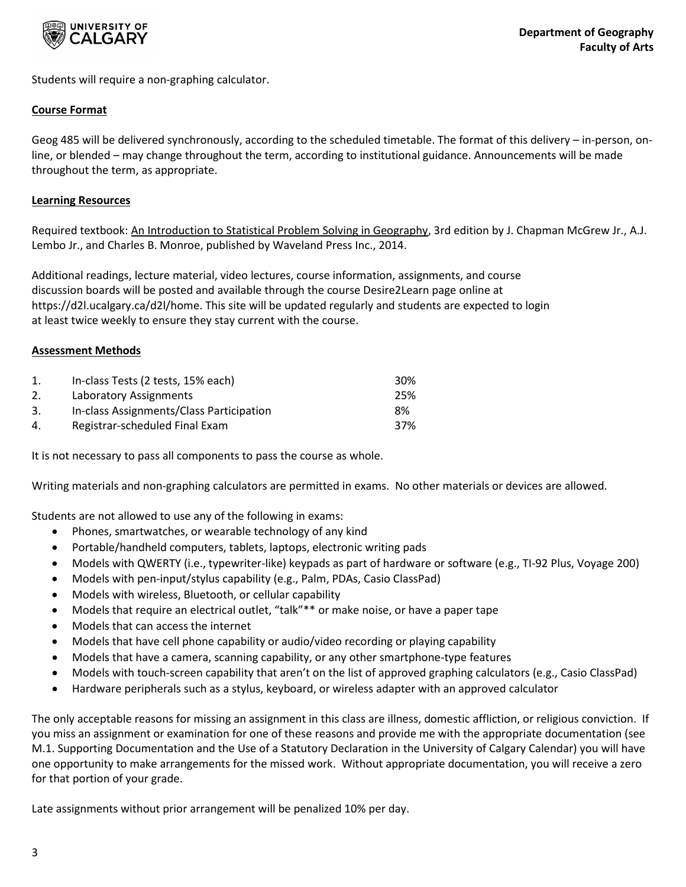

Students will require a non-graphing calculator.

# **Course Format**

Geog 485 will be delivered synchronously, according to the scheduled timetable. The format of this delivery – in-person, online, or blended – may change throughout the term, according to institutional guidance. Announcements will be made throughout the term, as appropriate.

# **Learning Resources**

Required textbook: An Introduction to Statistical Problem Solving in Geography, 3rd edition by J. Chapman McGrew Jr., A.J. Lembo Jr., and Charles B. Monroe, published by Waveland Press Inc., 2014.

Additional readings, lecture material, video lectures, course information, assignments, and course discussion boards will be posted and available through the course Desire2Learn page online at https://d2l.ucalgary.ca/d2l/home. This site will be updated regularly and students are expected to login at least twice weekly to ensure they stay current with the course.

# **Assessment Methods**

|    | In-class Tests (2 tests, 15% each)       | 30%  |
|----|------------------------------------------|------|
| 2. | Laboratory Assignments                   | -25% |
| 3. | In-class Assignments/Class Participation | 8%   |
| 4. | Registrar-scheduled Final Exam           | 37%  |

It is not necessary to pass all components to pass the course as whole.

Writing materials and non-graphing calculators are permitted in exams. No other materials or devices are allowed.

Students are not allowed to use any of the following in exams:

- Phones, smartwatches, or wearable technology of any kind
- Portable/handheld computers, tablets, laptops, electronic writing pads
- Models with QWERTY (i.e., typewriter-like) keypads as part of hardware or software (e.g., TI-92 Plus, Voyage 200)
- Models with pen-input/stylus capability (e.g., Palm, PDAs, Casio ClassPad)
- Models with wireless, Bluetooth, or cellular capability
- Models that require an electrical outlet, "talk"\*\* or make noise, or have a paper tape
- Models that can access the internet
- Models that have cell phone capability or audio/video recording or playing capability
- Models that have a camera, scanning capability, or any other smartphone-type features
- Models with touch-screen capability that aren't on the list of approved graphing calculators (e.g., Casio ClassPad)
- Hardware peripherals such as a stylus, keyboard, or wireless adapter with an approved calculator

The only acceptable reasons for missing an assignment in this class are illness, domestic affliction, or religious conviction. If you miss an assignment or examination for one of these reasons and provide me with the appropriate documentation (see M.1. Supporting Documentation and the Use of a Statutory Declaration in the University of Calgary Calendar) you will have one opportunity to make arrangements for the missed work. Without appropriate documentation, you will receive a zero for that portion of your grade.

Late assignments without prior arrangement will be penalized 10% per day.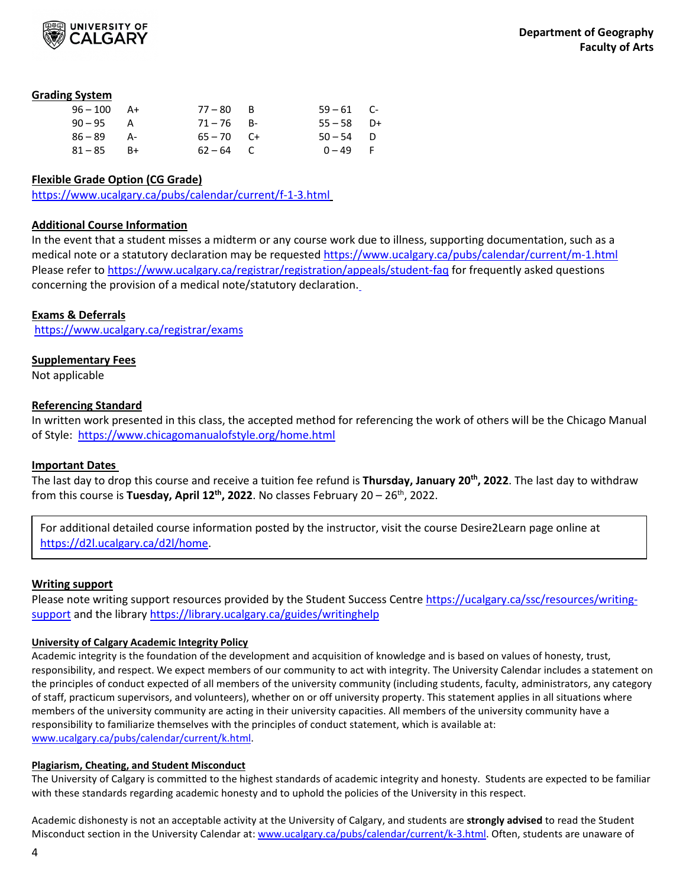

## **Grading System**

| $96 - 100$ A+ | $77 - 80$ B  | $59 - 61$ C- |  |
|---------------|--------------|--------------|--|
| $90 - 95$ A   | $71 - 76$ B- | $55 - 58$ D+ |  |
| $86 - 89$ A-  | $65 - 70$ C+ | $50 - 54$ D  |  |
| $81 - 85$ B+  | $62 - 64$ C  | $0 - 49$ F   |  |

# **Flexible Grade Option (CG Grade)**

<https://www.ucalgary.ca/pubs/calendar/current/f-1-3.html>

## **Additional Course Information**

In the event that a student misses a midterm or any course work due to illness, supporting documentation, such as a medical note or a statutory declaration may be requested https://www.ucalgary.ca/pubs/calendar/current/m-1.html Please refer to<https://www.ucalgary.ca/registrar/registration/appeals/student-faq> for frequently asked questions concerning the provision of a medical note/statutory declaration.

## **Exams & Deferrals**

<https://www.ucalgary.ca/registrar/exams>

# **Supplementary Fees**

Not applicable

# **Referencing Standard**

In written work presented in this class, the accepted method for referencing the work of others will be the Chicago Manual of Style:<https://www.chicagomanualofstyle.org/home.html>

## **Important Dates**

The last day to drop this course and receive a tuition fee refund is **Thursday, January 20th, 2022**. The last day to withdraw from this course is **Tuesday, April 12<sup>th</sup>, 2022**. No classes February 20 – 26<sup>th</sup>, 2022.

For additional detailed course information posted by the instructor, visit the course Desire2Learn page online at [https://d2l.ucalgary.ca/d2l/home.](https://d2l.ucalgary.ca/d2l/home)

## **Writing support**

Please note writing support resources provided by the Student Success Centre [https://ucalgary.ca/ssc/resources/writing](https://ucalgary.ca/ssc/resources/writing-support)[support](https://ucalgary.ca/ssc/resources/writing-support) and the library<https://library.ucalgary.ca/guides/writinghelp>

## **University of Calgary Academic Integrity Policy**

Academic integrity is the foundation of the development and acquisition of knowledge and is based on values of honesty, trust, responsibility, and respect. We expect members of our community to act with integrity. The University Calendar includes a statement on the principles of conduct expected of all members of the university community (including students, faculty, administrators, any category of staff, practicum supervisors, and volunteers), whether on or off university property. This statement applies in all situations where members of the university community are acting in their university capacities. All members of the university community have a responsibility to familiarize themselves with the principles of conduct statement, which is available at: [www.ucalgary.ca/pubs/calendar/current/k.html.](http://www.ucalgary.ca/pubs/calendar/current/k.html)

## **Plagiarism, Cheating, and Student Misconduct**

The University of Calgary is committed to the highest standards of academic integrity and honesty. Students are expected to be familiar with these standards regarding academic honesty and to uphold the policies of the University in this respect.

Academic dishonesty is not an acceptable activity at the University of Calgary, and students are **strongly advised** to read the Student Misconduct section in the University Calendar at[: www.ucalgary.ca/pubs/calendar/current/k-3.html.](http://www.ucalgary.ca/pubs/calendar/current/k-3.html) Often, students are unaware of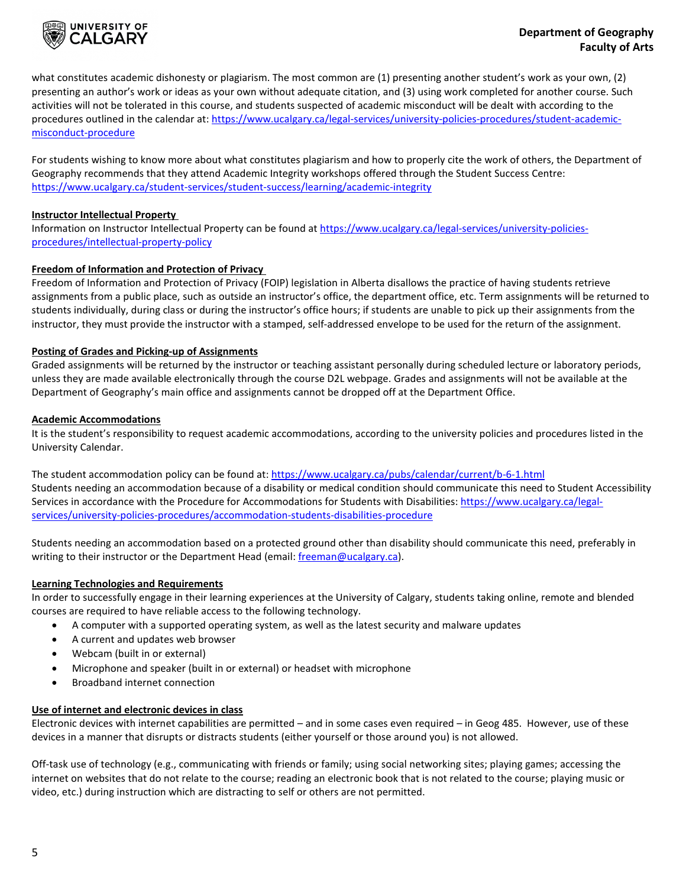

what constitutes academic dishonesty or plagiarism. The most common are (1) presenting another student's work as your own, (2) presenting an author's work or ideas as your own without adequate citation, and (3) using work completed for another course. Such activities will not be tolerated in this course, and students suspected of academic misconduct will be dealt with according to the procedures outlined in the calendar at: [https://www.ucalgary.ca/legal-services/university-policies-procedures/student-academic](https://www.ucalgary.ca/legal-services/university-policies-procedures/student-academic-misconduct-procedure)[misconduct-procedure](https://www.ucalgary.ca/legal-services/university-policies-procedures/student-academic-misconduct-procedure)

For students wishing to know more about what constitutes plagiarism and how to properly cite the work of others, the Department of Geography recommends that they attend Academic Integrity workshops offered through the Student Success Centre: <https://www.ucalgary.ca/student-services/student-success/learning/academic-integrity>

## **Instructor Intellectual Property**

Information on Instructor Intellectual Property can be found a[t https://www.ucalgary.ca/legal-services/university-policies](https://www.ucalgary.ca/legal-services/university-policies-procedures/intellectual-property-policy)[procedures/intellectual-property-policy](https://www.ucalgary.ca/legal-services/university-policies-procedures/intellectual-property-policy)

## **Freedom of Information and Protection of Privacy**

Freedom of Information and Protection of Privacy (FOIP) legislation in Alberta disallows the practice of having students retrieve assignments from a public place, such as outside an instructor's office, the department office, etc. Term assignments will be returned to students individually, during class or during the instructor's office hours; if students are unable to pick up their assignments from the instructor, they must provide the instructor with a stamped, self-addressed envelope to be used for the return of the assignment.

## **Posting of Grades and Picking-up of Assignments**

Graded assignments will be returned by the instructor or teaching assistant personally during scheduled lecture or laboratory periods, unless they are made available electronically through the course D2L webpage. Grades and assignments will not be available at the Department of Geography's main office and assignments cannot be dropped off at the Department Office.

## **Academic Accommodations**

It is the student's responsibility to request academic accommodations, according to the university policies and procedures listed in the University Calendar.

The student accommodation policy can be found at[: https://www.ucalgary.ca/pubs/calendar/current/b-6-1.html](https://www.ucalgary.ca/pubs/calendar/current/b-6-1.html) Students needing an accommodation because of a disability or medical condition should communicate this need to Student Accessibility Services in accordance with the Procedure for Accommodations for Students with Disabilities[: https://www.ucalgary.ca/legal](https://www.ucalgary.ca/legal-services/university-policies-procedures/accommodation-students-disabilities-procedure)[services/university-policies-procedures/accommodation-students-disabilities-procedure](https://www.ucalgary.ca/legal-services/university-policies-procedures/accommodation-students-disabilities-procedure)

Students needing an accommodation based on a protected ground other than disability should communicate this need, preferably in writing to their instructor or the Department Head (email[: freeman@ucalgary.ca\)](mailto:freeman@ucalgary.ca).

#### **Learning Technologies and Requirements**

In order to successfully engage in their learning experiences at the University of Calgary, students taking online, remote and blended courses are required to have reliable access to the following technology.

- A computer with a supported operating system, as well as the latest security and malware updates
- A current and updates web browser
- Webcam (built in or external)
- Microphone and speaker (built in or external) or headset with microphone
- Broadband internet connection

#### **Use of internet and electronic devices in class**

Electronic devices with internet capabilities are permitted – and in some cases even required – in Geog 485. However, use of these devices in a manner that disrupts or distracts students (either yourself or those around you) is not allowed.

Off-task use of technology (e.g., communicating with friends or family; using social networking sites; playing games; accessing the internet on websites that do not relate to the course; reading an electronic book that is not related to the course; playing music or video, etc.) during instruction which are distracting to self or others are not permitted.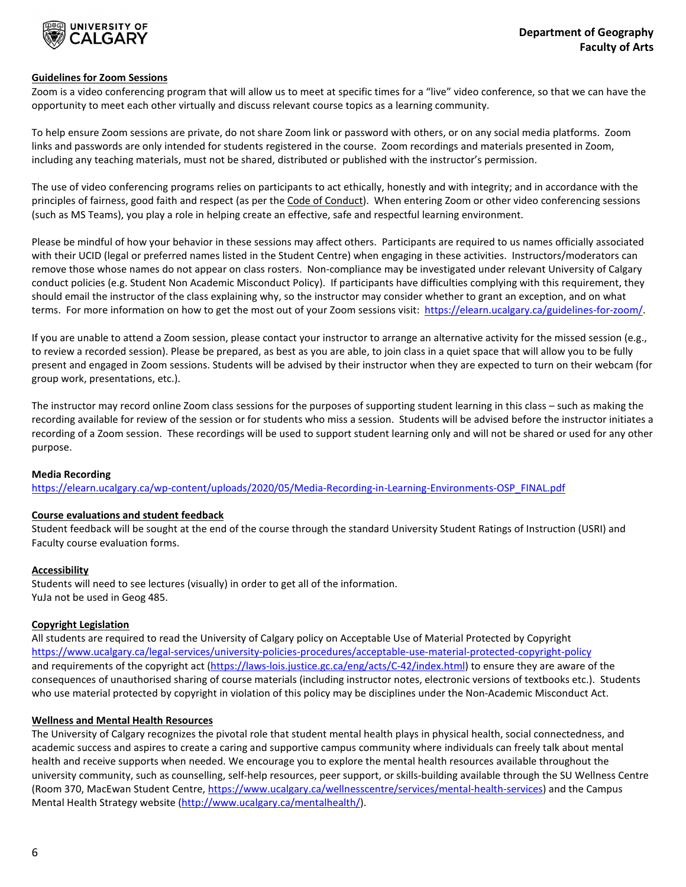

## **Guidelines for Zoom Sessions**

Zoom is a video conferencing program that will allow us to meet at specific times for a "live" video conference, so that we can have the opportunity to meet each other virtually and discuss relevant course topics as a learning community.

To help ensure Zoom sessions are private, do not share Zoom link or password with others, or on any social media platforms. Zoom links and passwords are only intended for students registered in the course. Zoom recordings and materials presented in Zoom, including any teaching materials, must not be shared, distributed or published with the instructor's permission.

The use of video conferencing programs relies on participants to act ethically, honestly and with integrity; and in accordance with the principles of fairness, good faith and respect (as per the Code of Conduct). When entering Zoom or other video conferencing sessions (such as MS Teams), you play a role in helping create an effective, safe and respectful learning environment.

Please be mindful of how your behavior in these sessions may affect others. Participants are required to us names officially associated with their UCID (legal or preferred names listed in the Student Centre) when engaging in these activities. Instructors/moderators can remove those whose names do not appear on class rosters. Non-compliance may be investigated under relevant University of Calgary conduct policies (e.g. Student Non Academic Misconduct Policy). If participants have difficulties complying with this requirement, they should email the instructor of the class explaining why, so the instructor may consider whether to grant an exception, and on what terms. For more information on how to get the most out of your Zoom sessions visit: [https://elearn.ucalgary.ca/guidelines-for-zoom/.](https://elearn.ucalgary.ca/guidelines-for-zoom/)

If you are unable to attend a Zoom session, please contact your instructor to arrange an alternative activity for the missed session (e.g., to review a recorded session). Please be prepared, as best as you are able, to join class in a quiet space that will allow you to be fully present and engaged in Zoom sessions. Students will be advised by their instructor when they are expected to turn on their webcam (for group work, presentations, etc.).

The instructor may record online Zoom class sessions for the purposes of supporting student learning in this class – such as making the recording available for review of the session or for students who miss a session. Students will be advised before the instructor initiates a recording of a Zoom session. These recordings will be used to support student learning only and will not be shared or used for any other purpose.

#### **Media Recording**

[https://elearn.ucalgary.ca/wp-content/uploads/2020/05/Media-Recording-in-Learning-Environments-OSP\\_FINAL.pdf](https://elearn.ucalgary.ca/wp-content/uploads/2020/05/Media-Recording-in-Learning-Environments-OSP_FINAL.pdf)

#### **Course evaluations and student feedback**

Student feedback will be sought at the end of the course through the standard University Student Ratings of Instruction (USRI) and Faculty course evaluation forms.

## **Accessibility**

Students will need to see lectures (visually) in order to get all of the information. YuJa not be used in Geog 485.

#### **Copyright Legislation**

All students are required to read the University of Calgary policy on Acceptable Use of Material Protected by Copyright <https://www.ucalgary.ca/legal-services/university-policies-procedures/acceptable-use-material-protected-copyright-policy> and requirements of the copyright act [\(https://laws-lois.justice.gc.ca/eng/acts/C-42/index.html\)](https://laws-lois.justice.gc.ca/eng/acts/C-42/index.html) to ensure they are aware of the consequences of unauthorised sharing of course materials (including instructor notes, electronic versions of textbooks etc.). Students who use material protected by copyright in violation of this policy may be disciplines under the Non-Academic Misconduct Act.

#### **Wellness and Mental Health Resources**

The University of Calgary recognizes the pivotal role that student mental health plays in physical health, social connectedness, and academic success and aspires to create a caring and supportive campus community where individuals can freely talk about mental health and receive supports when needed. We encourage you to explore the mental health resources available throughout the university community, such as counselling, self-help resources, peer support, or skills-building available through the SU Wellness Centre (Room 370, MacEwan Student Centre, [https://www.ucalgary.ca/wellnesscentre/services/mental-health-services\)](https://www.ucalgary.ca/wellnesscentre/services/mental-health-services) and the Campus Mental Health Strategy website [\(http://www.ucalgary.ca/mentalhealth/\)](http://www.ucalgary.ca/mentalhealth/).